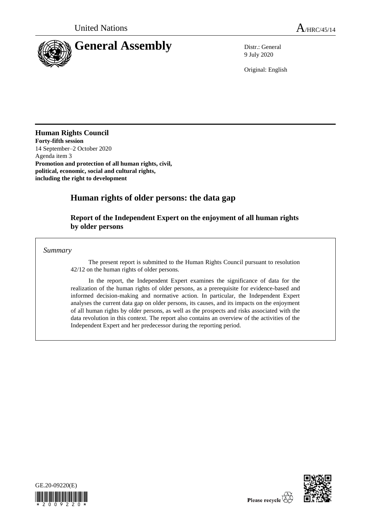

9 July 2020

Original: English

## **Human Rights Council**

**Forty-fifth session** 14 September–2 October 2020 Agenda item 3 **Promotion and protection of all human rights, civil, political, economic, social and cultural rights, including the right to development**

# **Human rights of older persons: the data gap**

## **Report of the Independent Expert on the enjoyment of all human rights by older persons**

*Summary*

The present report is submitted to the Human Rights Council pursuant to resolution 42/12 on the human rights of older persons.

In the report, the Independent Expert examines the significance of data for the realization of the human rights of older persons, as a prerequisite for evidence-based and informed decision-making and normative action. In particular, the Independent Expert analyses the current data gap on older persons, its causes, and its impacts on the enjoyment of all human rights by older persons, as well as the prospects and risks associated with the data revolution in this context. The report also contains an overview of the activities of the Independent Expert and her predecessor during the reporting period.



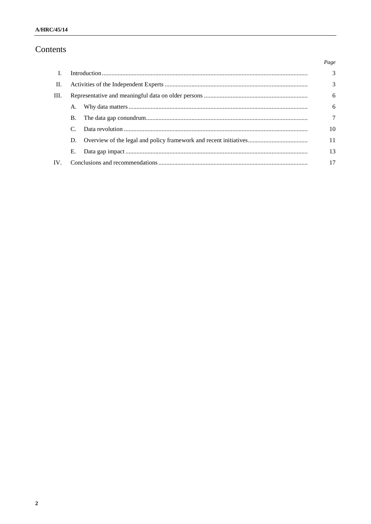# Contents

|                |    |  | Page           |
|----------------|----|--|----------------|
| $\mathbf{I}$ . |    |  | $\overline{3}$ |
| П.             |    |  | 3              |
| Ш.             |    |  | 6              |
|                | A. |  | 6              |
|                | В. |  | $\tau$         |
|                |    |  | 10             |
|                | D. |  | 11             |
|                | Е. |  | 13             |
| $IV_{-}$       |    |  | 17             |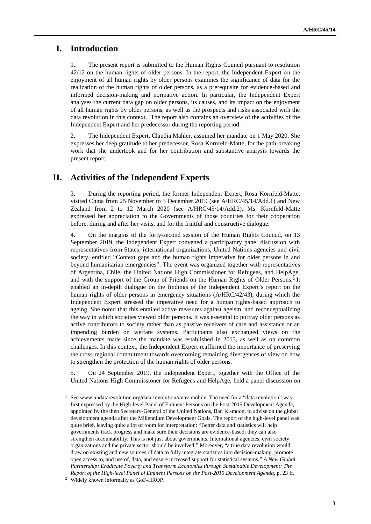## **I. Introduction**

The present report is submitted to the Human Rights Council pursuant to resolution 42/12 on the human rights of older persons. In the report, the Independent Expert on the enjoyment of all human rights by older persons examines the significance of data for the realization of the human rights of older persons, as a prerequisite for evidence-based and informed decision-making and normative action. In particular, the Independent Expert analyses the current data gap on older persons, its causes, and its impact on the enjoyment of all human rights by older persons, as well as the prospects and risks associated with the data revolution in this context.<sup>1</sup> The report also contains an overview of the activities of the Independent Expert and her predecessor during the reporting period.

2. The Independent Expert, Claudia Mahler, assumed her mandate on 1 May 2020. She expresses her deep gratitude to her predecessor, Rosa Kornfeld-Matte, for the path-breaking work that she undertook and for her contribution and substantive analysis towards the present report.

## **II. Activities of the Independent Experts**

3. During the reporting period, the former Independent Expert, Rosa Kornfeld-Matte, visited China from 25 November to 3 December 2019 (see A/HRC/45/14/Add.1) and New Zealand from 2 to 12 March 2020 (see A/HRC/45/14/Add.2). Ms. Kornfeld-Matte expressed her appreciation to the Governments of those countries for their cooperation before, during and after her visits, and for the fruitful and constructive dialogue.

4. On the margins of the forty-second session of the Human Rights Council, on 13 September 2019, the Independent Expert convened a participatory panel discussion with representatives from States, international organizations, United Nations agencies and civil society, entitled "Context gaps and the human rights imperative for older persons in and beyond humanitarian emergencies". The event was organized together with representatives of Argentina, Chile, the United Nations High Commissioner for Refugees, and HelpAge, and with the support of the Group of Friends on the Human Rights of Older Persons.<sup>2</sup> It enabled an in-depth dialogue on the findings of the Independent Expert's report on the human rights of older persons in emergency situations (A/HRC/42/43), during which the Independent Expert stressed the imperative need for a human rights-based approach to ageing. She noted that this entailed active measures against ageism, and reconceptualizing the way in which societies viewed older persons. It was essential to portray older persons as active contributors to society rather than as passive receivers of care and assistance or an impending burden on welfare systems. Participants also exchanged views on the achievements made since the mandate was established in 2013, as well as on common challenges. In this context, the Independent Expert reaffirmed the importance of preserving the cross-regional commitment towards overcoming remaining divergences of view on how to strengthen the protection of the human rights of older persons.

5. On 24 September 2019, the Independent Expert, together with the Office of the United Nations High Commissioner for Refugees and HelpAge, held a panel discussion on

<sup>&</sup>lt;sup>1</sup> See www.undatarevolution.org/data-revolution/#nav-mobile. The need for a "data revolution" was first expressed by the High-level Panel of Eminent Persons on the Post-2015 Development Agenda, appointed by the then Secretary-General of the United Nations, Ban Ki-moon, to advise on the global development agenda after the Millennium Development Goals. The report of the high-level panel was quite brief, leaving quite a lot of room for interpretation: "Better data and statistics will help governments track progress and make sure their decisions are evidence-based; they can also strengthen accountability. This is not just about governments. International agencies, civil society organizations and the private sector should be involved." Moreover, "a true data revolution would draw on existing and new sources of data to fully integrate statistics into decision-making, promote open access to, and use of, data, and ensure increased support for statistical systems." *A New Global Partnership: Eradicate Poverty and Transform Economies through Sustainable Development: The Report of the High-level Panel of Eminent Persons on the Post-2015 Development Agenda*, p. 23 ff.

<sup>2</sup> Widely known informally as GoF-HROP.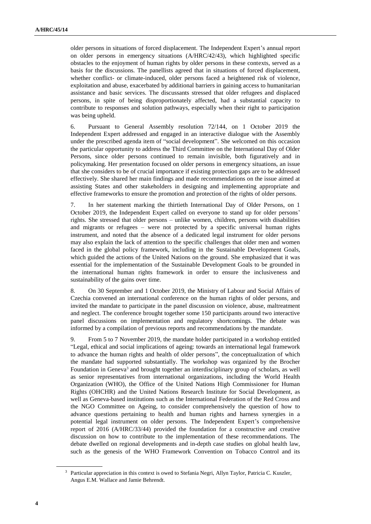older persons in situations of forced displacement. The Independent Expert's annual report on older persons in emergency situations (A/HRC/42/43), which highlighted specific obstacles to the enjoyment of human rights by older persons in these contexts, served as a basis for the discussions. The panellists agreed that in situations of forced displacement, whether conflict- or climate-induced, older persons faced a heightened risk of violence, exploitation and abuse, exacerbated by additional barriers in gaining access to humanitarian assistance and basic services. The discussants stressed that older refugees and displaced persons, in spite of being disproportionately affected, had a substantial capacity to contribute to responses and solution pathways, especially when their right to participation was being upheld.

6. Pursuant to General Assembly resolution 72/144, on 1 October 2019 the Independent Expert addressed and engaged in an interactive dialogue with the Assembly under the prescribed agenda item of "social development". She welcomed on this occasion the particular opportunity to address the Third Committee on the International Day of Older Persons, since older persons continued to remain invisible, both figuratively and in policymaking. Her presentation focused on older persons in emergency situations, an issue that she considers to be of crucial importance if existing protection gaps are to be addressed effectively. She shared her main findings and made recommendations on the issue aimed at assisting States and other stakeholders in designing and implementing appropriate and effective frameworks to ensure the promotion and protection of the rights of older persons.

7. In her statement marking the thirtieth International Day of Older Persons, on 1 October 2019, the Independent Expert called on everyone to stand up for older persons' rights. She stressed that older persons – unlike women, children, persons with disabilities and migrants or refugees – were not protected by a specific universal human rights instrument, and noted that the absence of a dedicated legal instrument for older persons may also explain the lack of attention to the specific challenges that older men and women faced in the global policy framework, including in the Sustainable Development Goals, which guided the actions of the United Nations on the ground. She emphasized that it was essential for the implementation of the Sustainable Development Goals to be grounded in the international human rights framework in order to ensure the inclusiveness and sustainability of the gains over time.

8. On 30 September and 1 October 2019, the Ministry of Labour and Social Affairs of Czechia convened an international conference on the human rights of older persons, and invited the mandate to participate in the panel discussion on violence, abuse, maltreatment and neglect. The conference brought together some 150 participants around two interactive panel discussions on implementation and regulatory shortcomings. The debate was informed by a compilation of previous reports and recommendations by the mandate.

9. From 5 to 7 November 2019, the mandate holder participated in a workshop entitled "Legal, ethical and social implications of ageing: towards an international legal framework to advance the human rights and health of older persons", the conceptualization of which the mandate had supported substantially. The workshop was organized by the Brocher Foundation in Geneva<sup>3</sup> and brought together an interdisciplinary group of scholars, as well as senior representatives from international organizations, including the World Health Organization (WHO), the Office of the United Nations High Commissioner for Human Rights (OHCHR) and the United Nations Research Institute for Social Development, as well as Geneva-based institutions such as the International Federation of the Red Cross and the NGO Committee on Ageing, to consider comprehensively the question of how to advance questions pertaining to health and human rights and harness synergies in a potential legal instrument on older persons. The Independent Expert's comprehensive report of 2016 (A/HRC/33/44) provided the foundation for a constructive and creative discussion on how to contribute to the implementation of these recommendations. The debate dwelled on regional developments and in-depth case studies on global health law, such as the genesis of the WHO Framework Convention on Tobacco Control and its

<sup>3</sup> Particular appreciation in this context is owed to Stefania Negri, Allyn Taylor, Patricia C. Kuszler, Angus E.M. Wallace and Jamie Behrendt.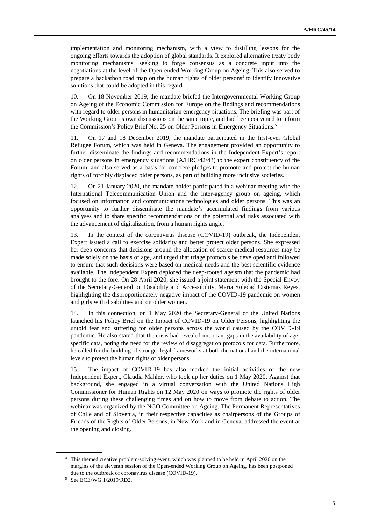implementation and monitoring mechanism, with a view to distilling lessons for the ongoing efforts towards the adoption of global standards. It explored alternative treaty body monitoring mechanisms, seeking to forge consensus as a concrete input into the negotiations at the level of the Open-ended Working Group on Ageing. This also served to prepare a hackathon road map on the human rights of older persons<sup>4</sup> to identify innovative solutions that could be adopted in this regard.

10. On 18 November 2019, the mandate briefed the Intergovernmental Working Group on Ageing of the Economic Commission for Europe on the findings and recommendations with regard to older persons in humanitarian emergency situations. The briefing was part of the Working Group's own discussions on the same topic, and had been convened to inform the Commission's Policy Brief No. 25 on Older Persons in Emergency Situations.<sup>5</sup>

11. On 17 and 18 December 2019, the mandate participated in the first-ever Global Refugee Forum, which was held in Geneva. The engagement provided an opportunity to further disseminate the findings and recommendations in the Independent Expert's report on older persons in emergency situations (A/HRC/42/43) to the expert constituency of the Forum, and also served as a basis for concrete pledges to promote and protect the human rights of forcibly displaced older persons, as part of building more inclusive societies.

12. On 21 January 2020, the mandate holder participated in a webinar meeting with the International Telecommunication Union and the inter-agency group on ageing, which focused on information and communications technologies and older persons. This was an opportunity to further disseminate the mandate's accumulated findings from various analyses and to share specific recommendations on the potential and risks associated with the advancement of digitalization, from a human rights angle.

13. In the context of the coronavirus disease (COVID-19) outbreak, the Independent Expert issued a call to exercise solidarity and better protect older persons. She expressed her deep concerns that decisions around the allocation of scarce medical resources may be made solely on the basis of age, and urged that triage protocols be developed and followed to ensure that such decisions were based on medical needs and the best scientific evidence available. The Independent Expert deplored the deep-rooted ageism that the pandemic had brought to the fore. On 28 April 2020, she issued a joint statement with the Special Envoy of the Secretary-General on Disability and Accessibility, María Soledad Cisternas Reyes, highlighting the disproportionately negative impact of the COVID-19 pandemic on women and girls with disabilities and on older women.

14. In this connection, on 1 May 2020 the Secretary-General of the United Nations launched his Policy Brief on the Impact of COVID-19 on Older Persons, highlighting the untold fear and suffering for older persons across the world caused by the COVID-19 pandemic. He also stated that the crisis had revealed important gaps in the availability of agespecific data, noting the need for the review of disaggregation protocols for data. Furthermore, he called for the building of stronger legal frameworks at both the national and the international levels to protect the human rights of older persons.

15. The impact of COVID-19 has also marked the initial activities of the new Independent Expert, Claudia Mahler, who took up her duties on 1 May 2020. Against that background, she engaged in a virtual conversation with the United Nations High Commissioner for Human Rights on 12 May 2020 on ways to promote the rights of older persons during these challenging times and on how to move from debate to action. The webinar was organized by the NGO Committee on Ageing. The Permanent Representatives of Chile and of Slovenia, in their respective capacities as chairpersons of the Groups of Friends of the Rights of Older Persons, in New York and in Geneva, addressed the event at the opening and closing.

<sup>4</sup> This themed creative problem-solving event, which was planned to be held in April 2020 on the margins of the eleventh session of the Open-ended Working Group on Ageing, has been postponed due to the outbreak of coronavirus disease (COVID-19).

<sup>5</sup> See ECE/WG.1/2019/RD2.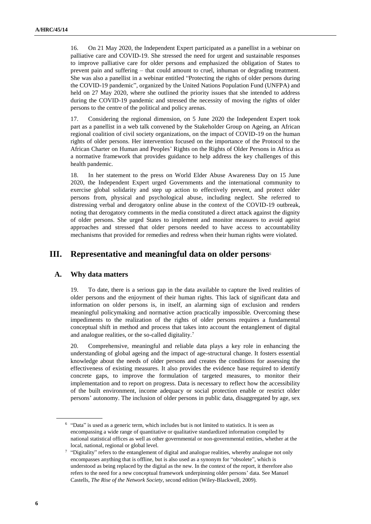16. On 21 May 2020, the Independent Expert participated as a panellist in a webinar on palliative care and COVID-19. She stressed the need for urgent and sustainable responses to improve palliative care for older persons and emphasized the obligation of States to prevent pain and suffering – that could amount to cruel, inhuman or degrading treatment. She was also a panellist in a webinar entitled "Protecting the rights of older persons during the COVID-19 pandemic", organized by the United Nations Population Fund (UNFPA) and held on 27 May 2020, where she outlined the priority issues that she intended to address during the COVID-19 pandemic and stressed the necessity of moving the rights of older persons to the centre of the political and policy arenas.

17. Considering the regional dimension, on 5 June 2020 the Independent Expert took part as a panellist in a web talk convened by the Stakeholder Group on Ageing, an African regional coalition of civil society organizations, on the impact of COVID-19 on the human rights of older persons. Her intervention focused on the importance of the Protocol to the African Charter on Human and Peoples' Rights on the Rights of Older Persons in Africa as a normative framework that provides guidance to help address the key challenges of this health pandemic.

18. In her statement to the press on World Elder Abuse Awareness Day on 15 June 2020, the Independent Expert urged Governments and the international community to exercise global solidarity and step up action to effectively prevent, and protect older persons from, physical and psychological abuse, including neglect. She referred to distressing verbal and derogatory online abuse in the context of the COVID-19 outbreak, noting that derogatory comments in the media constituted a direct attack against the dignity of older persons. She urged States to implement and monitor measures to avoid ageist approaches and stressed that older persons needed to have access to accountability mechanisms that provided for remedies and redress when their human rights were violated.

## **III. Representative and meaningful data on older persons**<sup>6</sup>

#### **A. Why data matters**

19. To date, there is a serious gap in the data available to capture the lived realities of older persons and the enjoyment of their human rights. This lack of significant data and information on older persons is, in itself, an alarming sign of exclusion and renders meaningful policymaking and normative action practically impossible. Overcoming these impediments to the realization of the rights of older persons requires a fundamental conceptual shift in method and process that takes into account the entanglement of digital and analogue realities, or the so-called digitality.<sup>7</sup>

20. Comprehensive, meaningful and reliable data plays a key role in enhancing the understanding of global ageing and the impact of age-structural change. It fosters essential knowledge about the needs of older persons and creates the conditions for assessing the effectiveness of existing measures. It also provides the evidence base required to identify concrete gaps, to improve the formulation of targeted measures, to monitor their implementation and to report on progress. Data is necessary to reflect how the accessibility of the built environment, income adequacy or social protection enable or restrict older persons' autonomy. The inclusion of older persons in public data, disaggregated by age, sex

<sup>&</sup>lt;sup>6</sup> "Data" is used as a generic term, which includes but is not limited to statistics. It is seen as encompassing a wide range of quantitative or qualitative standardized information compiled by national statistical offices as well as other governmental or non-governmental entities, whether at the local, national, regional or global level.

<sup>&</sup>lt;sup>7</sup> "Digitality" refers to the entanglement of digital and analogue realities, whereby analogue not only encompasses anything that is offline, but is also used as a synonym for "obsolete", which is understood as being replaced by the digital as the new. In the context of the report, it therefore also refers to the need for a new conceptual framework underpinning older persons' data. See Manuel Castells, *The Rise of the Network Society*, second edition (Wiley-Blackwell, 2009).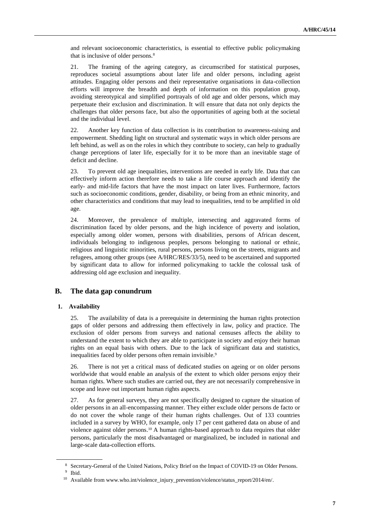and relevant socioeconomic characteristics, is essential to effective public policymaking that is inclusive of older persons.<sup>8</sup>

21. The framing of the ageing category, as circumscribed for statistical purposes, reproduces societal assumptions about later life and older persons, including ageist attitudes. Engaging older persons and their representative organisations in data-collection efforts will improve the breadth and depth of information on this population group, avoiding stereotypical and simplified portrayals of old age and older persons, which may perpetuate their exclusion and discrimination. It will ensure that data not only depicts the challenges that older persons face, but also the opportunities of ageing both at the societal and the individual level.

22. Another key function of data collection is its contribution to awareness-raising and empowerment. Shedding light on structural and systematic ways in which older persons are left behind, as well as on the roles in which they contribute to society, can help to gradually change perceptions of later life, especially for it to be more than an inevitable stage of deficit and decline.

23. To prevent old age inequalities, interventions are needed in early life. Data that can effectively inform action therefore needs to take a life course approach and identify the early- and mid-life factors that have the most impact on later lives. Furthermore, factors such as socioeconomic conditions, gender, disability, or being from an ethnic minority, and other characteristics and conditions that may lead to inequalities, tend to be amplified in old age.

24. Moreover, the prevalence of multiple, intersecting and aggravated forms of discrimination faced by older persons, and the high incidence of poverty and isolation, especially among older women, persons with disabilities, persons of African descent, individuals belonging to indigenous peoples, persons belonging to national or ethnic, religious and linguistic minorities, rural persons, persons living on the streets, migrants and refugees, among other groups (see A/HRC/RES/33/5), need to be ascertained and supported by significant data to allow for informed policymaking to tackle the colossal task of addressing old age exclusion and inequality.

### **B. The data gap conundrum**

#### **1. Availability**

25. The availability of data is a prerequisite in determining the human rights protection gaps of older persons and addressing them effectively in law, policy and practice. The exclusion of older persons from surveys and national censuses affects the ability to understand the extent to which they are able to participate in society and enjoy their human rights on an equal basis with others. Due to the lack of significant data and statistics, inequalities faced by older persons often remain invisible.<sup>9</sup>

26. There is not yet a critical mass of dedicated studies on ageing or on older persons worldwide that would enable an analysis of the extent to which older persons enjoy their human rights. Where such studies are carried out, they are not necessarily comprehensive in scope and leave out important human rights aspects.

27. As for general surveys, they are not specifically designed to capture the situation of older persons in an all-encompassing manner. They either exclude older persons de facto or do not cover the whole range of their human rights challenges. Out of 133 countries included in a survey by WHO, for example, only 17 per cent gathered data on abuse of and violence against older persons.<sup>10</sup> A human rights-based approach to data requires that older persons, particularly the most disadvantaged or marginalized, be included in national and large-scale data-collection efforts.

<sup>8</sup> Secretary-General of the United Nations, Policy Brief on the Impact of COVID-19 on Older Persons.

<sup>9</sup> Ibid.

<sup>&</sup>lt;sup>10</sup> Available from www.who.int/violence\_injury\_prevention/violence/status\_report/2014/en/.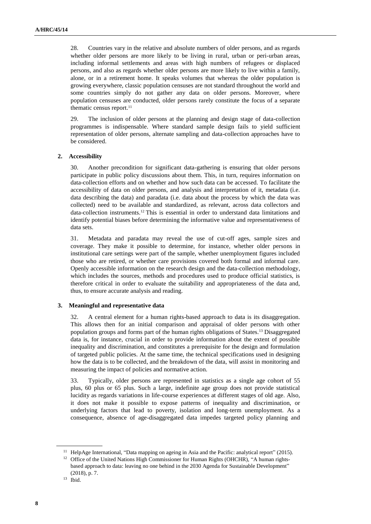28. Countries vary in the relative and absolute numbers of older persons, and as regards whether older persons are more likely to be living in rural, urban or peri-urban areas, including informal settlements and areas with high numbers of refugees or displaced persons, and also as regards whether older persons are more likely to live within a family, alone, or in a retirement home. It speaks volumes that whereas the older population is growing everywhere, classic population censuses are not standard throughout the world and some countries simply do not gather any data on older persons. Moreover, where population censuses are conducted, older persons rarely constitute the focus of a separate thematic census report.<sup>11</sup>

29. The inclusion of older persons at the planning and design stage of data-collection programmes is indispensable. Where standard sample design fails to yield sufficient representation of older persons, alternate sampling and data-collection approaches have to be considered.

#### **2. Accessibility**

30. Another precondition for significant data-gathering is ensuring that older persons participate in public policy discussions about them. This, in turn, requires information on data-collection efforts and on whether and how such data can be accessed. To facilitate the accessibility of data on older persons, and analysis and interpretation of it, metadata (i.e. data describing the data) and paradata (i.e. data about the process by which the data was collected) need to be available and standardized, as relevant, across data collectors and data-collection instruments.<sup>12</sup> This is essential in order to understand data limitations and identify potential biases before determining the informative value and representativeness of data sets.

31. Metadata and paradata may reveal the use of cut-off ages, sample sizes and coverage. They make it possible to determine, for instance, whether older persons in institutional care settings were part of the sample, whether unemployment figures included those who are retired, or whether care provisions covered both formal and informal care. Openly accessible information on the research design and the data-collection methodology, which includes the sources, methods and procedures used to produce official statistics, is therefore critical in order to evaluate the suitability and appropriateness of the data and, thus, to ensure accurate analysis and reading.

#### **3. Meaningful and representative data**

32. A central element for a human rights-based approach to data is its disaggregation. This allows then for an initial comparison and appraisal of older persons with other population groups and forms part of the human rights obligations of States.<sup>13</sup> Disaggregated data is, for instance, crucial in order to provide information about the extent of possible inequality and discrimination, and constitutes a prerequisite for the design and formulation of targeted public policies. At the same time, the technical specifications used in designing how the data is to be collected, and the breakdown of the data, will assist in monitoring and measuring the impact of policies and normative action.

33. Typically, older persons are represented in statistics as a single age cohort of 55 plus, 60 plus or 65 plus. Such a large, indefinite age group does not provide statistical lucidity as regards variations in life-course experiences at different stages of old age. Also, it does not make it possible to expose patterns of inequality and discrimination, or underlying factors that lead to poverty, isolation and long-term unemployment. As a consequence, absence of age-disaggregated data impedes targeted policy planning and

<sup>&</sup>lt;sup>11</sup> HelpAge International, "Data mapping on ageing in Asia and the Pacific: analytical report" (2015).

<sup>&</sup>lt;sup>12</sup> Office of the United Nations High Commissioner for Human Rights (OHCHR), "A human rightsbased approach to data: leaving no one behind in the 2030 Agenda for Sustainable Development" (2018), p. 7.

<sup>13</sup> Ibid.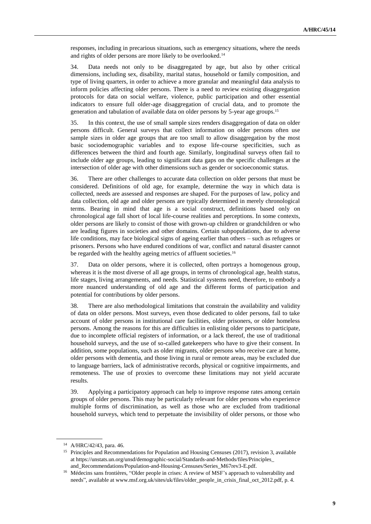responses, including in precarious situations, such as emergency situations, where the needs and rights of older persons are more likely to be overlooked.<sup>14</sup>

34. Data needs not only to be disaggregated by age, but also by other critical dimensions, including sex, disability, marital status, household or family composition, and type of living quarters, in order to achieve a more granular and meaningful data analysis to inform policies affecting older persons. There is a need to review existing disaggregation protocols for data on social welfare, violence, public participation and other essential indicators to ensure full older-age disaggregation of crucial data, and to promote the generation and tabulation of available data on older persons by 5-year age groups.<sup>15</sup>

35. In this context, the use of small sample sizes renders disaggregation of data on older persons difficult. General surveys that collect information on older persons often use sample sizes in older age groups that are too small to allow disaggregation by the most basic sociodemographic variables and to expose life-course specificities, such as differences between the third and fourth age. Similarly, longitudinal surveys often fail to include older age groups, leading to significant data gaps on the specific challenges at the intersection of older age with other dimensions such as gender or socioeconomic status.

36. There are other challenges to accurate data collection on older persons that must be considered. Definitions of old age, for example, determine the way in which data is collected, needs are assessed and responses are shaped. For the purposes of law, policy and data collection, old age and older persons are typically determined in merely chronological terms. Bearing in mind that age is a social construct, definitions based only on chronological age fall short of local life-course realities and perceptions. In some contexts, older persons are likely to consist of those with grown-up children or grandchildren or who are leading figures in societies and other domains. Certain subpopulations, due to adverse life conditions, may face biological signs of ageing earlier than others – such as refugees or prisoners. Persons who have endured conditions of war, conflict and natural disaster cannot be regarded with the healthy ageing metrics of affluent societies.<sup>16</sup>

37. Data on older persons, where it is collected, often portrays a homogenous group, whereas it is the most diverse of all age groups, in terms of chronological age, health status, life stages, living arrangements, and needs. Statistical systems need, therefore, to embody a more nuanced understanding of old age and the different forms of participation and potential for contributions by older persons.

38. There are also methodological limitations that constrain the availability and validity of data on older persons. Most surveys, even those dedicated to older persons, fail to take account of older persons in institutional care facilities, older prisoners, or older homeless persons. Among the reasons for this are difficulties in enlisting older persons to participate, due to incomplete official registers of information, or a lack thereof, the use of traditional household surveys, and the use of so-called gatekeepers who have to give their consent. In addition, some populations, such as older migrants, older persons who receive care at home, older persons with dementia, and those living in rural or remote areas, may be excluded due to language barriers, lack of administrative records, physical or cognitive impairments, and remoteness. The use of proxies to overcome these limitations may not yield accurate results.

39. Applying a participatory approach can help to improve response rates among certain groups of older persons. This may be particularly relevant for older persons who experience multiple forms of discrimination, as well as those who are excluded from traditional household surveys, which tend to perpetuate the invisibility of older persons, or those who

<sup>14</sup> A/HRC/42/43, para. 46.

<sup>&</sup>lt;sup>15</sup> Principles and Recommendations for Population and Housing Censuses (2017), revision 3, available at [https://unstats.un.org/unsd/demographic-social/Standards-and-Methods/files/Principles\\_](https://unstats.un.org/unsd/demographic-social/Standards-and-Methods/files/Principles_) and\_Recommendations/Population-and-Housing-Censuses/Series\_M67rev3-E.pdf.

<sup>&</sup>lt;sup>16</sup> Médecins sans frontières, "Older people in crises: A review of MSF's approach to vulnerability and needs", available at www.msf.org.uk/sites/uk/files/older\_people\_in\_crisis\_final\_oct\_2012.pdf, p. 4.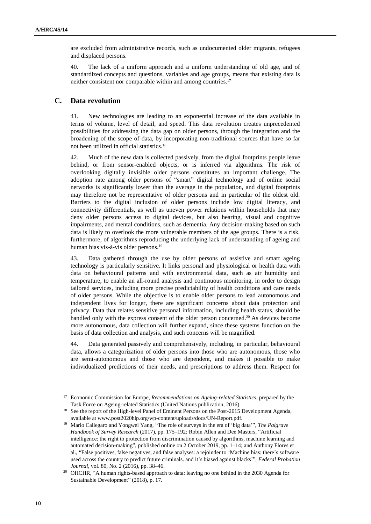are excluded from administrative records, such as undocumented older migrants, refugees and displaced persons.

40. The lack of a uniform approach and a uniform understanding of old age, and of standardized concepts and questions, variables and age groups, means that existing data is neither consistent nor comparable within and among countries.<sup>17</sup>

### **C. Data revolution**

41. New technologies are leading to an exponential increase of the data available in terms of volume, level of detail, and speed. This data revolution creates unprecedented possibilities for addressing the data gap on older persons, through the integration and the broadening of the scope of data, by incorporating non-traditional sources that have so far not been utilized in official statistics.<sup>18</sup>

42. Much of the new data is collected passively, from the digital footprints people leave behind, or from sensor-enabled objects, or is inferred via algorithms. The risk of overlooking digitally invisible older persons constitutes an important challenge. The adoption rate among older persons of "smart" digital technology and of online social networks is significantly lower than the average in the population, and digital footprints may therefore not be representative of older persons and in particular of the oldest old. Barriers to the digital inclusion of older persons include low digital literacy, and connectivity differentials, as well as uneven power relations within households that may deny older persons access to digital devices, but also hearing, visual and cognitive impairments, and mental conditions, such as dementia. Any decision-making based on such data is likely to overlook the more vulnerable members of the age groups. There is a risk, furthermore, of algorithms reproducing the underlying lack of understanding of ageing and human bias vis-à-vis older persons.<sup>19</sup>

43. Data gathered through the use by older persons of assistive and smart ageing technology is particularly sensitive. It links personal and physiological or health data with data on behavioural patterns and with environmental data, such as air humidity and temperature, to enable an all-round analysis and continuous monitoring, in order to design tailored services, including more precise predictability of health conditions and care needs of older persons. While the objective is to enable older persons to lead autonomous and independent lives for longer, there are significant concerns about data protection and privacy. Data that relates sensitive personal information, including health status, should be handled only with the express consent of the older person concerned.<sup>20</sup> As devices become more autonomous, data collection will further expand, since these systems function on the basis of data collection and analysis, and such concerns will be magnified.

44. Data generated passively and comprehensively, including, in particular, behavioural data, allows a categorization of older persons into those who are autonomous, those who are semi-autonomous and those who are dependent, and makes it possible to make individualized predictions of their needs, and prescriptions to address them. Respect for

<sup>17</sup> Economic Commission for Europe, *Recommendations on Ageing-related Statistics*, prepared by the Task Force on Ageing-related Statistics (United Nations publication, 2016).

<sup>&</sup>lt;sup>18</sup> See the report of the High-level Panel of Eminent Persons on the Post-2015 Development Agenda, available at www.post2020hlp.org/wp-content/uploads/docs/UN-Report.pdf.

<sup>19</sup> Mario Callegaro and Yongwei Yang, "The role of surveys in the era of 'big data'", *The Palgrave Handbook of Survey Research* (2017), pp. 175–192; Robin Allen and Dee Masters, "Artificial intelligence: the right to protection from discrimination caused by algorithms, machine learning and automated decision-making", published online on 2 October 2019, pp. 1–14; and Anthony Flores et al., "False positives, false negatives, and false analyses: a rejoinder to 'Machine bias: there's software used across the country to predict future criminals. and it's biased against blacks'", *Federal Probation Journal*, vol. 80, No. 2 (2016), pp. 38–46.

<sup>&</sup>lt;sup>20</sup> OHCHR, "A human rights-based approach to data: leaving no one behind in the 2030 Agenda for Sustainable Development" (2018), p. 17.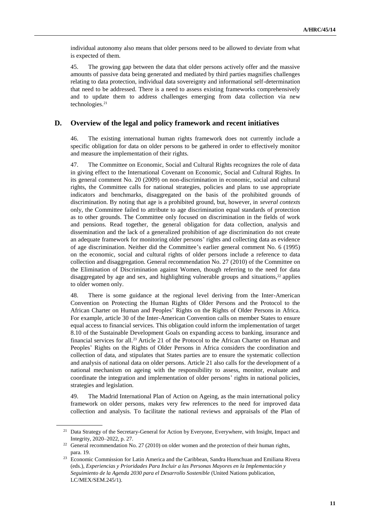individual autonomy also means that older persons need to be allowed to deviate from what is expected of them.

45. The growing gap between the data that older persons actively offer and the massive amounts of passive data being generated and mediated by third parties magnifies challenges relating to data protection, individual data sovereignty and informational self-determination that need to be addressed. There is a need to assess existing frameworks comprehensively and to update them to address challenges emerging from data collection via new technologies.<sup>21</sup>

#### **D. Overview of the legal and policy framework and recent initiatives**

46. The existing international human rights framework does not currently include a specific obligation for data on older persons to be gathered in order to effectively monitor and measure the implementation of their rights.

47. The Committee on Economic, Social and Cultural Rights recognizes the role of data in giving effect to the International Covenant on Economic, Social and Cultural Rights. In its general comment No. 20 (2009) on non-discrimination in economic, social and cultural rights, the Committee calls for national strategies, policies and plans to use appropriate indicators and benchmarks, disaggregated on the basis of the prohibited grounds of discrimination. By noting that age is a prohibited ground, but, however, in *several contexts* only, the Committee failed to attribute to age discrimination equal standards of protection as to other grounds. The Committee only focused on discrimination in the fields of work and pensions. Read together, the general obligation for data collection, analysis and dissemination and the lack of a generalized prohibition of age discrimination do not create an adequate framework for monitoring older persons' rights and collecting data as evidence of age discrimination. Neither did the Committee's earlier general comment No. 6 (1995) on the economic, social and cultural rights of older persons include a reference to data collection and disaggregation. General recommendation No. 27 (2010) of the Committee on the Elimination of Discrimination against Women, though referring to the need for data disaggregated by age and sex, and highlighting vulnerable groups and situations, $2<sup>2</sup>$  applies to older women only.

48. There is some guidance at the regional level deriving from the Inter-American Convention on Protecting the Human Rights of Older Persons and the Protocol to the African Charter on Human and Peoples' Rights on the Rights of Older Persons in Africa. For example, article 30 of the Inter-American Convention calls on member States to ensure equal access to financial services. This obligation could inform the implementation of target 8.10 of the Sustainable Development Goals on expanding access to banking, insurance and financial services for all.<sup>23</sup> Article 21 of the Protocol to the African Charter on Human and Peoples' Rights on the Rights of Older Persons in Africa considers the coordination and collection of data, and stipulates that States parties are to ensure the systematic collection and analysis of national data on older persons. Article 21 also calls for the development of a national mechanism on ageing with the responsibility to assess, monitor, evaluate and coordinate the integration and implementation of older persons' rights in national policies, strategies and legislation.

49. The Madrid International Plan of Action on Ageing, as the main international policy framework on older persons, makes very few references to the need for improved data collection and analysis. To facilitate the national reviews and appraisals of the Plan of

<sup>21</sup> Data Strategy of the Secretary-General for Action by Everyone, Everywhere, with Insight, Impact and Integrity, 2020–2022, p. 27.

 $22$  General recommendation No. 27 (2010) on older women and the protection of their human rights, para. 19.

<sup>&</sup>lt;sup>23</sup> Economic Commission for Latin America and the Caribbean, Sandra Huenchuan and Emiliana Rivera (eds.), *Experiencias y Prioridades Para Incluir a las Personas Mayores en la Implementación y Seguimiento de la Agenda 2030 para el Desarrollo Sostenible* (United Nations publication, LC/MEX/SEM.245/1).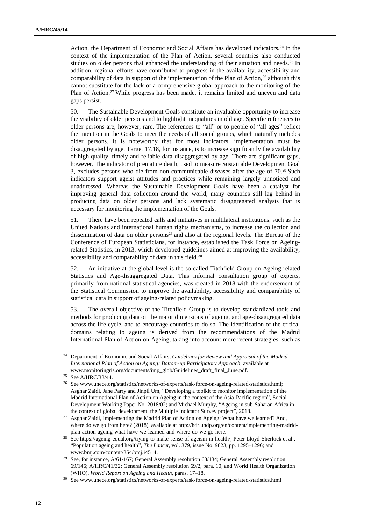Action, the Department of Economic and Social Affairs has developed indicators.<sup>24</sup> In the context of the implementation of the Plan of Action, several countries also conducted studies on older persons that enhanced the understanding of their situation and needs.<sup>25</sup> In addition, regional efforts have contributed to progress in the availability, accessibility and comparability of data in support of the implementation of the Plan of Action,<sup>26</sup> although this cannot substitute for the lack of a comprehensive global approach to the monitoring of the Plan of Action.<sup>27</sup> While progress has been made, it remains limited and uneven and data gaps persist.

50. The Sustainable Development Goals constitute an invaluable opportunity to increase the visibility of older persons and to highlight inequalities in old age. Specific references to older persons are, however, rare. The references to "all" or to people of "all ages" reflect the intention in the Goals to meet the needs of all social groups, which naturally includes older persons. It is noteworthy that for most indicators, implementation must be disaggregated by age. Target 17.18, for instance, is to increase significantly the availability of high-quality, timely and reliable data disaggregated by age. There are significant gaps, however. The indicator of premature death, used to measure Sustainable Development Goal 3, excludes persons who die from non-communicable diseases after the age of 70.<sup>28</sup> Such indicators support ageist attitudes and practices while remaining largely unnoticed and unaddressed. Whereas the Sustainable Development Goals have been a catalyst for improving general data collection around the world, many countries still lag behind in producing data on older persons and lack systematic disaggregated analysis that is necessary for monitoring the implementation of the Goals.

51. There have been repeated calls and initiatives in multilateral institutions, such as the United Nations and international human rights mechanisms, to increase the collection and dissemination of data on older persons<sup>29</sup> and also at the regional levels. The Bureau of the Conference of European Statisticians, for instance, established the Task Force on Ageingrelated Statistics, in 2013, which developed guidelines aimed at improving the availability, accessibility and comparability of data in this field.<sup>30</sup>

52. An initiative at the global level is the so-called Titchfield Group on Ageing-related Statistics and Age-disaggregated Data. This informal consultation group of experts, primarily from national statistical agencies, was created in 2018 with the endorsement of the Statistical Commission to improve the availability, accessibility and comparability of statistical data in support of ageing-related policymaking.

53. The overall objective of the Titchfield Group is to develop standardized tools and methods for producing data on the major dimensions of ageing, and age-disaggregated data across the life cycle, and to encourage countries to do so. The identification of the critical domains relating to ageing is derived from the recommendations of the Madrid International Plan of Action on Ageing, taking into account more recent strategies, such as

<sup>24</sup> Department of Economic and Social Affairs, *Guidelines for Review and Appraisal of the Madrid International Plan of Action on Ageing: Bottom-up Participatory Approach*, available at www.monitoringris.org/documents/imp\_glob/Guidelines\_draft\_final\_June.pdf.

<sup>25</sup> See A/HRC/33/44.

<sup>&</sup>lt;sup>26</sup> Se[e www.unece.org/statistics/networks-of-experts/task-force-on-ageing-related-statistics.html;](https://www.unece.org/statistics/networks-of-experts/task-force-on-ageing-related-statistics.html) Asghar Zaidi, Jane Parry and Jinpil Um, "Developing a toolkit to monitor implementation of the Madrid International Plan of Action on Ageing in the context of the Asia-Pacific region", Social Development Working Paper No. 2018/02; and Michael Murphy, "Ageing in sub-Saharan Africa in the context of global development: the Multiple Indicator Survey project", 2018.

<sup>&</sup>lt;sup>27</sup> Asghar Zaidi, Implementing the Madrid Plan of Action on Ageing: What have we learned? And, where do we go from here? (2018), available at [http://hdr.undp.org/en/content/implementing-madrid](http://hdr.undp.org/en/content/implementing-madrid-plan-action-ageing-what-have-we-learned-and-where-do-we-go-here)[plan-action-ageing-what-have-we-learned-and-where-do-we-go-here.](http://hdr.undp.org/en/content/implementing-madrid-plan-action-ageing-what-have-we-learned-and-where-do-we-go-here)

<sup>28</sup> Se[e https://ageing-equal.org/trying-to-make-sense-of-ageism-in-health/;](https://ageing-equal.org/trying-to-make-sense-of-ageism-in-health/) Peter Lloyd-Sherlock et al., "Population ageing and health", *The Lancet*, vol. 379, issue No. 9823, pp. 1295–1296; and [www.bmj.com/content/354/bmj.i4514.](https://www.bmj.com/content/354/bmj.i4514)

<sup>&</sup>lt;sup>29</sup> See, for instance, A/61/167; General Assembly resolution 68/134; General Assembly resolution 69/146; A/HRC/41/32; General Assembly resolution 69/2, para. 10; and World Health Organization (WHO), *World Report on Ageing and Health*, paras. 17–18.

<sup>30</sup> [See www.unece.org/statistics/networks-of-experts/task-force-on-ageing-related-statistics.html](https://www.unece.org/statistics/networks-of-experts/task-force-on-ageing-related-statistics.html)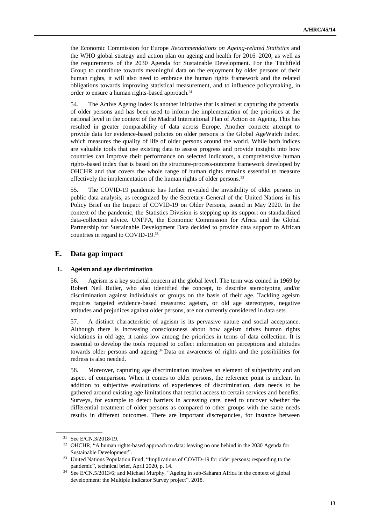the Economic Commission for Europe *Recommendations on Ageing-related Statistics* and the WHO global strategy and action plan on ageing and health for 2016–2020, as well as the requirements of the 2030 Agenda for Sustainable Development. For the Titchfield Group to contribute towards meaningful data on the enjoyment by older persons of their human rights, it will also need to embrace the human rights framework and the related obligations towards improving statistical measurement, and to influence policymaking, in order to ensure a human rights-based approach.<sup>31</sup>

54. The Active Ageing Index is another initiative that is aimed at capturing the potential of older persons and has been used to inform the implementation of the priorities at the national level in the context of the Madrid International Plan of Action on Ageing. This has resulted in greater comparability of data across Europe. Another concrete attempt to provide data for evidence-based policies on older persons is the Global AgeWatch Index, which measures the quality of life of older persons around the world. While both indices are valuable tools that use existing data to assess progress and provide insights into how countries can improve their performance on selected indicators, a comprehensive human rights-based index that is based on the structure-process-outcome framework developed by OHCHR and that covers the whole range of human rights remains essential to measure effectively the implementation of the human rights of older persons.<sup>32</sup>

55. The COVID-19 pandemic has further revealed the invisibility of older persons in public data analysis, as recognized by the Secretary-General of the United Nations in his Policy Brief on the Impact of COVID-19 on Older Persons, issued in May 2020. In the context of the pandemic, the Statistics Division is stepping up its support on standardized data-collection advice. UNFPA, the Economic Commission for Africa and the Global Partnership for Sustainable Development Data decided to provide data support to African countries in regard to COVID-19.<sup>33</sup>

### **E. Data gap impact**

#### **1. Ageism and age discrimination**

56. Ageism is a key societal concern at the global level. The term was coined in 1969 by Robert Neil Butler, who also identified the concept, to describe stereotyping and/or discrimination against individuals or groups on the basis of their age. Tackling ageism requires targeted evidence-based measures: ageism, or old age stereotypes, negative attitudes and prejudices against older persons, are not currently considered in data sets.

57. A distinct characteristic of ageism is its pervasive nature and social acceptance. Although there is increasing consciousness about how ageism drives human rights violations in old age, it ranks low among the priorities in terms of data collection. It is essential to develop the tools required to collect information on perceptions and attitudes towards older persons and ageing.<sup>34</sup> Data on awareness of rights and the possibilities for redress is also needed.

58. Moreover, capturing age discrimination involves an element of subjectivity and an aspect of comparison. When it comes to older persons, the reference point is unclear. In addition to subjective evaluations of experiences of discrimination, data needs to be gathered around existing age limitations that restrict access to certain services and benefits. Surveys, for example to detect barriers in accessing care, need to uncover whether the differential treatment of older persons as compared to other groups with the same needs results in different outcomes. There are important discrepancies, for instance between

<sup>31</sup> See E/CN.3/2018/19.

<sup>&</sup>lt;sup>32</sup> OHCHR, "A human rights-based approach to data: leaving no one behind in the 2030 Agenda for Sustainable Development".

<sup>&</sup>lt;sup>33</sup> United Nations Population Fund, "Implications of COVID-19 for older persons: responding to the pandemic", technical brief, April 2020, p. 14.

<sup>34</sup> See E/CN.5/2013/6; and Michael Murphy, "Ageing in sub-Saharan Africa in the context of global development: the Multiple Indicator Survey project", 2018.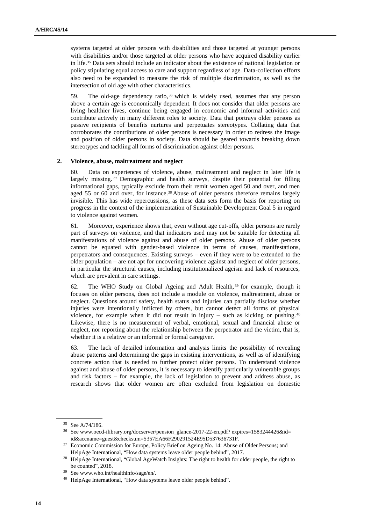systems targeted at older persons with disabilities and those targeted at younger persons with disabilities and/or those targeted at older persons who have acquired disability earlier in life.<sup>35</sup> Data sets should include an indicator about the existence of national legislation or policy stipulating equal access to care and support regardless of age. Data-collection efforts also need to be expanded to measure the risk of multiple discrimination, as well as the intersection of old age with other characteristics.

59. The old-age dependency ratio, <sup>36</sup> which is widely used, assumes that any person above a certain age is economically dependent. It does not consider that older persons are living healthier lives, continue being engaged in economic and informal activities and contribute actively in many different roles to society. Data that portrays older persons as passive recipients of benefits nurtures and perpetuates stereotypes. Collating data that corroborates the contributions of older persons is necessary in order to redress the image and position of older persons in society. Data should be geared towards breaking down stereotypes and tackling all forms of discrimination against older persons.

#### **2. Violence, abuse, maltreatment and neglect**

60. Data on experiences of violence, abuse, maltreatment and neglect in later life is largely missing. <sup>37</sup> Demographic and health surveys, despite their potential for filling informational gaps, typically exclude from their remit women aged 50 and over, and men aged 55 or 60 and over, for instance.<sup>38</sup> Abuse of older persons therefore remains largely invisible. This has wide repercussions, as these data sets form the basis for reporting on progress in the context of the implementation of Sustainable Development Goal 5 in regard to violence against women.

61. Moreover, experience shows that, even without age cut-offs, older persons are rarely part of surveys on violence, and that indicators used may not be suitable for detecting all manifestations of violence against and abuse of older persons. Abuse of older persons cannot be equated with gender-based violence in terms of causes, manifestations, perpetrators and consequences. Existing surveys – even if they were to be extended to the older population – are not apt for uncovering violence against and neglect of older persons, in particular the structural causes, including institutionalized ageism and lack of resources, which are prevalent in care settings.

62. The WHO Study on Global Ageing and Adult Health, <sup>39</sup> for example, though it focuses on older persons, does not include a module on violence, maltreatment, abuse or neglect. Questions around safety, health status and injuries can partially disclose whether injuries were intentionally inflicted by others, but cannot detect all forms of physical violence, for example when it did not result in injury – such as kicking or pushing. <sup>40</sup> Likewise, there is no measurement of verbal, emotional, sexual and financial abuse or neglect, nor reporting about the relationship between the perpetrator and the victim, that is, whether it is a relative or an informal or formal caregiver.

63. The lack of detailed information and analysis limits the possibility of revealing abuse patterns and determining the gaps in existing interventions, as well as of identifying concrete action that is needed to further protect older persons. To understand violence against and abuse of older persons, it is necessary to identify particularly vulnerable groups and risk factors – for example, the lack of legislation to prevent and address abuse, as research shows that older women are often excluded from legislation on domestic

<sup>35</sup> See A/74/186.

<sup>36</sup> See www.oecd-ilibrary.org/docserver/pension\_glance-2017-22-en.pdf? expires=1583244426&id= id&accname=guest&checksum=5357EA66F290291524E95D537636731F.

<sup>&</sup>lt;sup>37</sup> Economic Commission for Europe, Policy Brief on Ageing No. 14: Abuse of Older Persons; and HelpAge International, "How data systems leave older people behind", 2017.

<sup>&</sup>lt;sup>38</sup> HelpAge International, "Global AgeWatch Insights: The right to health for older people, the right to be counted", 2018.

<sup>39</sup> See www.who.int/healthinfo/sage/en/.

<sup>40</sup> HelpAge International, "How data systems leave older people behind".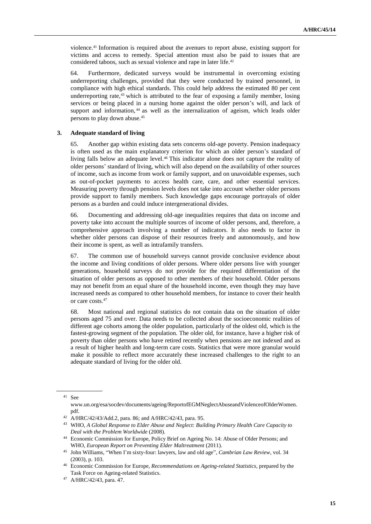violence.<sup>41</sup> Information is required about the avenues to report abuse, existing support for victims and access to remedy. Special attention must also be paid to issues that are considered taboos, such as sexual violence and rape in later life.<sup>42</sup>

64. Furthermore, dedicated surveys would be instrumental in overcoming existing underreporting challenges, provided that they were conducted by trained personnel, in compliance with high ethical standards. This could help address the estimated 80 per cent underreporting rate, $43$  which is attributed to the fear of exposing a family member, losing services or being placed in a nursing home against the older person's will, and lack of support and information, <sup>44</sup> as well as the internalization of ageism, which leads older persons to play down abuse.<sup>45</sup>

#### **3. Adequate standard of living**

65. Another gap within existing data sets concerns old-age poverty. Pension inadequacy is often used as the main explanatory criterion for which an older person's standard of living falls below an adequate level.<sup>46</sup> This indicator alone does not capture the reality of older persons' standard of living, which will also depend on the availability of other sources of income, such as income from work or family support, and on unavoidable expenses, such as out-of-pocket payments to access health care, care, and other essential services. Measuring poverty through pension levels does not take into account whether older persons provide support to family members. Such knowledge gaps encourage portrayals of older persons as a burden and could induce intergenerational divides.

66. Documenting and addressing old-age inequalities requires that data on income and poverty take into account the multiple sources of income of older persons, and, therefore, a comprehensive approach involving a number of indicators. It also needs to factor in whether older persons can dispose of their resources freely and autonomously, and how their income is spent, as well as intrafamily transfers.

67. The common use of household surveys cannot provide conclusive evidence about the income and living conditions of older persons. Where older persons live with younger generations, household surveys do not provide for the required differentiation of the situation of older persons as opposed to other members of their household. Older persons may not benefit from an equal share of the household income, even though they may have increased needs as compared to other household members, for instance to cover their health or care costs.<sup>47</sup>

68. Most national and regional statistics do not contain data on the situation of older persons aged 75 and over. Data needs to be collected about the socioeconomic realities of different age cohorts among the older population, particularly of the oldest old, which is the fastest-growing segment of the population. The older old, for instance, have a higher risk of poverty than older persons who have retired recently when pensions are not indexed and as a result of higher health and long-term care costs. Statistics that were more granular would make it possible to reflect more accurately these increased challenges to the right to an adequate standard of living for the older old.

<sup>41</sup> See

www.un.org/esa/socdev/documents/ageing/ReportofEGMNeglectAbuseandViolenceofOlderWomen. pdf.

<sup>42</sup> A/HRC/42/43/Add.2, para. 86; and A/HRC/42/43, para. 95.

<sup>43</sup> WHO, *A Global Response to Elder Abuse and Neglect: Building Primary Health Care Capacity to Deal with the Problem Worldwide* (2008).

<sup>44</sup> Economic Commission for Europe, Policy Brief on Ageing No. 14: Abuse of Older Persons; and WHO, *European Report on Preventing Elder Maltreatment* (2011).

<sup>45</sup> John Williams, "When I'm sixty-four: lawyers, law and old age", *Cambrian Law Review*, vol. 34 (2003), p. 103.

<sup>46</sup> Economic Commission for Europe, *Recommendations on Ageing-related Statistics*, prepared by the Task Force on Ageing-related Statistics.

<sup>47</sup> A/HRC/42/43, para. 47.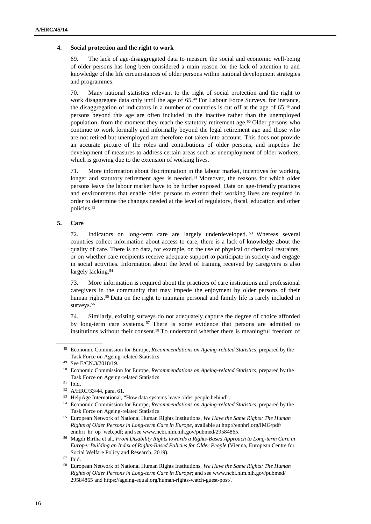#### **4. Social protection and the right to work**

69. The lack of age-disaggregated data to measure the social and economic well-being of older persons has long been considered a main reason for the lack of attention to and knowledge of the life circumstances of older persons within national development strategies and programmes.

70. Many national statistics relevant to the right of social protection and the right to work disaggregate data only until the age of 65.<sup>48</sup> For Labour Force Surveys, for instance, the disaggregation of indicators in a number of countries is cut off at the age of 65,<sup>49</sup> and persons beyond this age are often included in the inactive rather than the unemployed population, from the moment they reach the statutory retirement age.<sup>50</sup> Older persons who continue to work formally and informally beyond the legal retirement age and those who are not retired but unemployed are therefore not taken into account. This does not provide an accurate picture of the roles and contributions of older persons, and impedes the development of measures to address certain areas such as unemployment of older workers, which is growing due to the extension of working lives.

71. More information about discrimination in the labour market, incentives for working longer and statutory retirement ages is needed.<sup>51</sup> Moreover, the reasons for which older persons leave the labour market have to be further exposed. Data on age-friendly practices and environments that enable older persons to extend their working lives are required in order to determine the changes needed at the level of regulatory, fiscal, education and other policies.<sup>52</sup>

#### **5. Care**

72. Indicators on long-term care are largely underdeveloped. <sup>53</sup> Whereas several countries collect information about access to care, there is a lack of knowledge about the quality of care. There is no data, for example, on the use of physical or chemical restraints, or on whether care recipients receive adequate support to participate in society and engage in social activities. Information about the level of training received by caregivers is also largely lacking.<sup>54</sup>

73. More information is required about the practices of care institutions and professional caregivers in the community that may impede the enjoyment by older persons of their human rights.<sup>55</sup> Data on the right to maintain personal and family life is rarely included in surveys.<sup>56</sup>

74. Similarly, existing surveys do not adequately capture the degree of choice afforded by long-term care systems. <sup>57</sup> There is some evidence that persons are admitted to institutions without their consent.<sup>58</sup> To understand whether there is meaningful freedom of

<sup>48</sup> Economic Commission for Europe, *Recommendations on Ageing-related Statistics*, prepared by the Task Force on Ageing-related Statistics.

<sup>49</sup> See E/CN.3/2018/19.

<sup>50</sup> Economic Commission for Europe, *Recommendations on Ageing-related Statistics*, prepared by the Task Force on Ageing-related Statistics.

<sup>51</sup> Ibid.

<sup>52</sup> A/HRC/33/44, para. 61.

<sup>53</sup> HelpAge International, "How data systems leave older people behind".

<sup>54</sup> Economic Commission for Europe, *Recommendations on Ageing-related Statistics*, prepared by the Task Force on Ageing-related Statistics.

<sup>55</sup> European Network of National Human Rights Institutions, *We Have the Same Rights: The Human Rights of Older Persons in Long-term Care in Europe*, available at <http://ennhri.org/IMG/pdf/> ennhri\_hr\_op\_web.pdf; and se[e www.ncbi.nlm.nih.gov/pubmed/29584865.](https://www.ncbi.nlm.nih.gov/pubmed/29584865)

<sup>56</sup> Magdi Birtha et al., *From Disability Rights towards a Rights-Based Approach to Long-term Care in Europe: Building an Index of Rights-Based Policies for Older People* (Vienna, European Centre for Social Welfare Policy and Research, 2019).

<sup>57</sup> Ibid.

<sup>58</sup> European Network of National Human Rights Institutions, *We Have the Same Rights: The Human Rights of Older Persons in Long-term Care in Europe*; and se[e www.ncbi.nlm.nih.gov/pubmed/](http://www.ncbi.nlm.nih.gov/pubmed/) 29584865 and https://ageing-equal.org/human-rights-watch-guest-post/.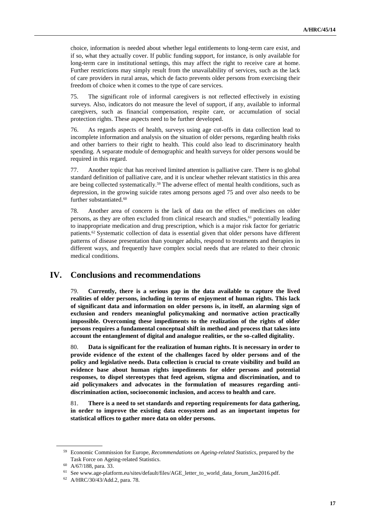choice, information is needed about whether legal entitlements to long-term care exist, and if so, what they actually cover. If public funding support, for instance, is only available for long-term care in institutional settings, this may affect the right to receive care at home. Further restrictions may simply result from the unavailability of services, such as the lack of care providers in rural areas, which de facto prevents older persons from exercising their freedom of choice when it comes to the type of care services.

75. The significant role of informal caregivers is not reflected effectively in existing surveys. Also, indicators do not measure the level of support, if any, available to informal caregivers, such as financial compensation, respite care, or accumulation of social protection rights. These aspects need to be further developed.

76. As regards aspects of health, surveys using age cut-offs in data collection lead to incomplete information and analysis on the situation of older persons, regarding health risks and other barriers to their right to health. This could also lead to discriminatory health spending. A separate module of demographic and health surveys for older persons would be required in this regard.

77. Another topic that has received limited attention is palliative care. There is no global standard definition of palliative care, and it is unclear whether relevant statistics in this area are being collected systematically.<sup>59</sup> The adverse effect of mental health conditions, such as depression, in the growing suicide rates among persons aged 75 and over also needs to be further substantiated.<sup>60</sup>

78. Another area of concern is the lack of data on the effect of medicines on older persons, as they are often excluded from clinical research and studies, $61$  potentially leading to inappropriate medication and drug prescription, which is a major risk factor for geriatric patients.<sup>62</sup> Systematic collection of data is essential given that older persons have different patterns of disease presentation than younger adults, respond to treatments and therapies in different ways, and frequently have complex social needs that are related to their chronic medical conditions.

### **IV. Conclusions and recommendations**

79. **Currently, there is a serious gap in the data available to capture the lived realities of older persons, including in terms of enjoyment of human rights. This lack of significant data and information on older persons is, in itself, an alarming sign of exclusion and renders meaningful policymaking and normative action practically impossible. Overcoming these impediments to the realization of the rights of older persons requires a fundamental conceptual shift in method and process that takes into account the entanglement of digital and analogue realities, or the so-called digitality.**

80. **Data is significant for the realization of human rights. It is necessary in order to provide evidence of the extent of the challenges faced by older persons and of the policy and legislative needs. Data collection is crucial to create visibility and build an evidence base about human rights impediments for older persons and potential responses, to dispel stereotypes that feed ageism, stigma and discrimination, and to aid policymakers and advocates in the formulation of measures regarding antidiscrimination action, socioeconomic inclusion, and access to health and care.**

81. **There is a need to set standards and reporting requirements for data gathering, in order to improve the existing data ecosystem and as an important impetus for statistical offices to gather more data on older persons.**

<sup>59</sup> Economic Commission for Europe, *Recommendations on Ageing-related Statistics*, prepared by the Task Force on Ageing-related Statistics.

<sup>60</sup> A/67/188, para. 33.

<sup>61</sup> See www.age-platform.eu/sites/default/files/AGE\_letter\_to\_world\_data\_forum\_Jan2016.pdf.

<sup>62</sup> A/HRC/30/43/Add.2, para. 78.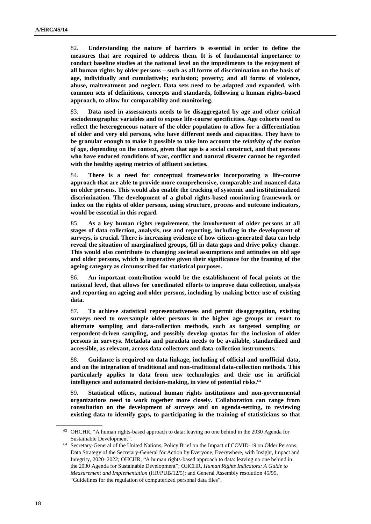82. **Understanding the nature of barriers is essential in order to define the measures that are required to address them. It is of fundamental importance to conduct baseline studies at the national level on the impediments to the enjoyment of all human rights by older persons – such as all forms of discrimination on the basis of age, individually and cumulatively; exclusion; poverty; and all forms of violence, abuse, maltreatment and neglect. Data sets need to be adapted and expanded, with common sets of definitions, concepts and standards, following a human rights-based approach, to allow for comparability and monitoring.**

83. **Data used in assessments needs to be disaggregated by age and other critical sociodemographic variables and to expose life-course specificities. Age cohorts need to reflect the heterogeneous nature of the older population to allow for a differentiation of older and very old persons, who have different needs and capacities. They have to be granular enough to make it possible to take into account the** *relativity of the notion of age***, depending on the context, given that age is a social construct, and that persons who have endured conditions of war, conflict and natural disaster cannot be regarded with the healthy ageing metrics of affluent societies.**

84. **There is a need for conceptual frameworks incorporating a life-course approach that are able to provide more comprehensive, comparable and nuanced data on older persons. This would also enable the tracking of systemic and institutionalized discrimination. The development of a global rights-based monitoring framework or index on the rights of older persons, using structure, process and outcome indicators, would be essential in this regard.**

85. **As a key human rights requirement, the involvement of older persons at all stages of data collection, analysis, use and reporting, including in the development of surveys, is crucial. There is increasing evidence of how citizen-generated data can help reveal the situation of marginalized groups, fill in data gaps and drive policy change. This would also contribute to changing societal assumptions and attitudes on old age and older persons, which is imperative given their significance for the framing of the ageing category as circumscribed for statistical purposes.**

86. **An important contribution would be the establishment of focal points at the national level, that allows for coordinated efforts to improve data collection, analysis and reporting on ageing and older persons, including by making better use of existing data.**

87. **To achieve statistical representativeness and permit disaggregation, existing surveys need to oversample older persons in the higher age groups or resort to alternate sampling and data-collection methods, such as targeted sampling or respondent-driven sampling, and possibly develop quotas for the inclusion of older persons in surveys. Metadata and paradata needs to be available, standardized and accessible, as relevant, across data collectors and data-collection instruments.**<sup>63</sup>

88. **Guidance is required on data linkage, including of official and unofficial data, and on the integration of traditional and non-traditional data-collection methods. This particularly applies to data from new technologies and their use in artificial intelligence and automated decision-making, in view of potential risks.**<sup>64</sup>

89. **Statistical offices, national human rights institutions and non-governmental organizations need to work together more closely. Collaboration can range from consultation on the development of surveys and on agenda-setting, to reviewing existing data to identify gaps, to participating in the training of statisticians so that** 

<sup>63</sup> OHCHR, "A human rights-based approach to data: leaving no one behind in the 2030 Agenda for Sustainable Development".

<sup>64</sup> Secretary-General of the United Nations, Policy Brief on the Impact of COVID-19 on Older Persons; Data Strategy of the Secretary-General for Action by Everyone, Everywhere, with Insight, Impact and Integrity, 2020–2022; OHCHR, "A human rights-based approach to data: leaving no one behind in the 2030 Agenda for Sustainable Development"; OHCHR, *Human Rights Indicators: A Guide to Measurement and Implementation* (HR/PUB/12/5); and General Assembly resolution 45/95, "Guidelines for the regulation of computerized personal data files".